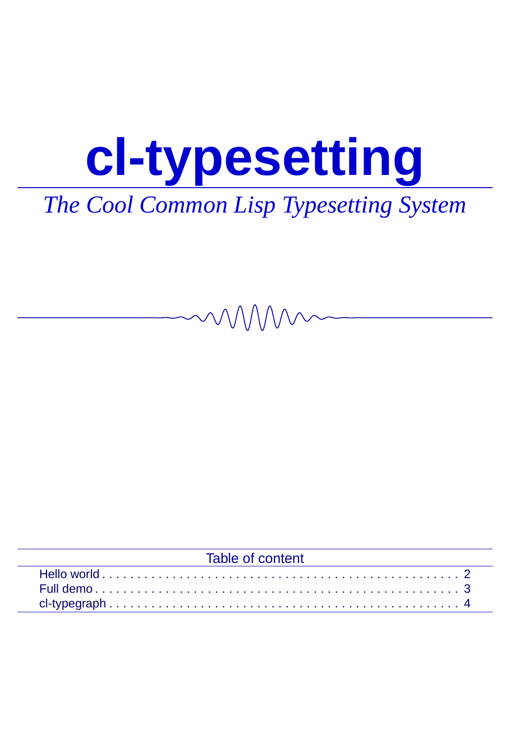## **cl-typesetting**

### *The Cool Common Lisp Typesetting System*

| Table of content |  |
|------------------|--|
|                  |  |
|                  |  |
|                  |  |
|                  |  |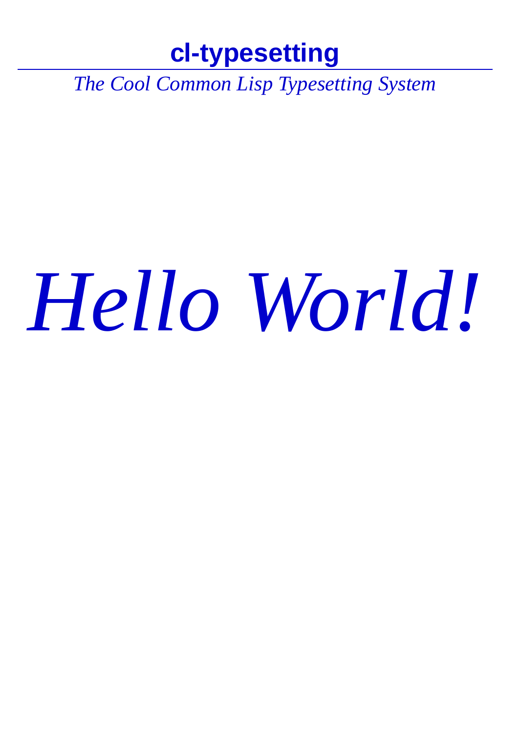#### **cl-typesetting**

*The Cool Common Lisp Typesetting System*

# *Hello World!*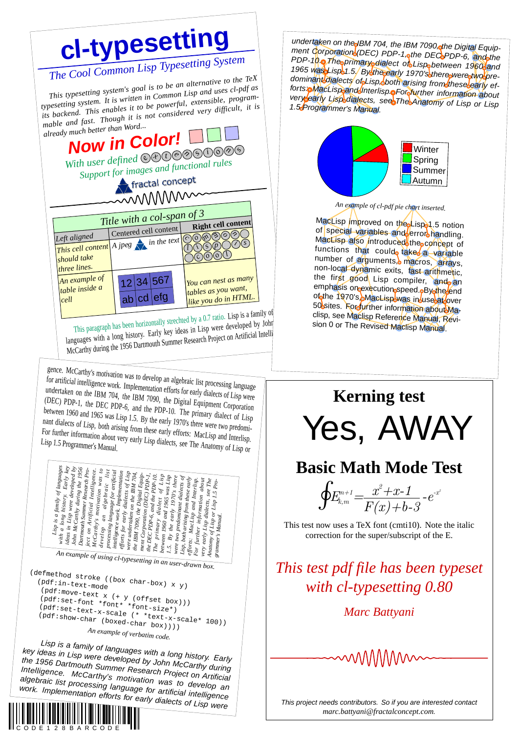

C O D E 1 2 8 B A R C O D E

ment Corporation (DEC) PDP-1, the DEC PDP-6, and the<br>PDP-10 o The primary dialect of Lisp between 1960 and undertaken on the IBM 704, the IBM 7090 othe Digital Equip-1965 was Lisp 1.5/ By the early 1970's there were two pre-<br>dominant dialects of Lisp both arising from these early efforts p MacLisp and Interlispe For further information about<br>very early Lisp dialects, see The Anatomy of



*An example of cl-pdf pie chart inserted.*

MacLisp Improved on the Lispa1.5 notion<br>of special variables and error handling.<br>MacLisp also Introduced the concept of<br>functions that could takes a variable<br>number of arguments, macros, arrays,<br>non-local dynamic exits, fa emphasis on execution speed obydine end<br>of the 1970's MacLispowas in Juse at over<br>50 sites. For further information about Maclisp, see Maclisp Reference Manual, Revision 0 or The Revised Maclisp Manual.

#### **Kerning test** Yes, AWAY **Basic Math Mode Test**  $\oint_{E_{k,m}^{n+1}} = \frac{x^2 + x - 1}{E(x) + 1}$  $F(x)+b-3$  $-e^{-x^2}$ This test now uses a TeX font (cmti10). Note the italic correction for the super/subscript of the E. *This test pdf file has been typeset*

*with cl-typesetting 0.80*

*Marc Battyani*



This project needs contributors. So if you are interested contact *marc.battyani@fractalconcept.com*.